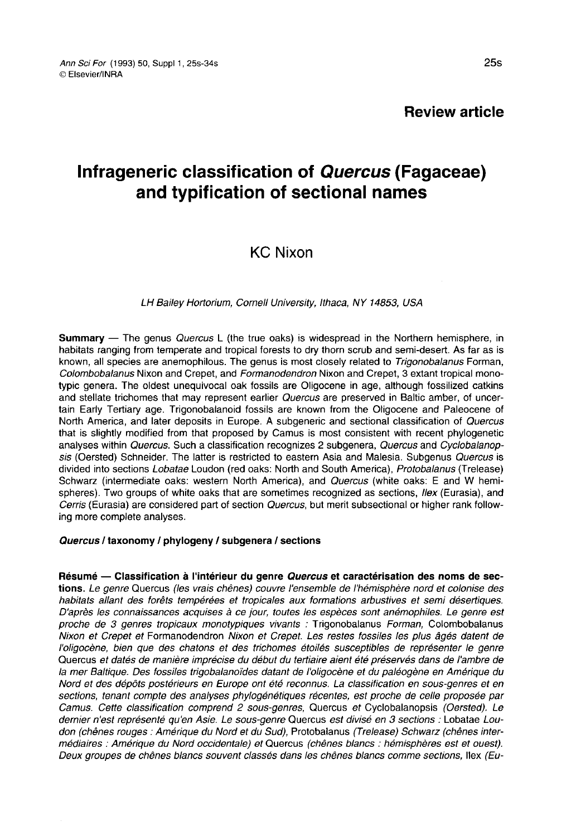# Infrageneric classification of Quercus (Fagaceae) and typification of sectional names

# KC Nixon

#### LH Bailey Hortorium, Cornell University, Ithaca, NY 14853, USA

Summary — The genus Quercus L (the true oaks) is widespread in the Northern hemisphere, in habitats ranging from temperate and tropical forests to dry thorn scrub and semi-desert. As far as is known, all species are anemophilous. The genus is most closely related to Trigonobalanus Forman, Colombobalanus Nixon and Crepet, and Formanodendron Nixon and Crepet, 3 extant tropical monotypic genera. The oldest unequivocal oak fossils are Oligocene in age, although fossilized catkins and stellate trichomes that may represent earlier Quercus are preserved in Baltic amber, of uncertain Early Tertiary age. Trigonobalanoid fossils are known from the Oligocene and Paleocene of North America, and later deposits in Europe. A subgeneric and sectional classification of Quercus that is slightly modified from that proposed by Camus is most consistent with recent phylogenetic analyses within Quercus. Such a classification recognizes 2 subgenera, Quercus and Cyclobalanopsis (Oersted) Schneider. The latter is restricted to eastern Asia and Malesia. Subgenus Quercus is divided into sections Lobatae Loudon (red oaks: North and South America), Protobalanus (Trelease) Schwarz (intermediate oaks: western North America), and Quercus (white oaks: E and W hemispheres). Two groups of white oaks that are sometimes recognized as sections, *Ilex* (Eurasia), and Cerris (Eurasia) are considered part of section Quercus, but merit subsectional or higher rank following more complete analyses.

#### Quercus / taxonomy / phylogeny / subgenera / sections

Résumé - Classification à l'intérieur du genre Quercus et caractérisation des noms de sections. Le genre Quercus (les vrais chênes) couvre l'ensemble de l'hémisphère nord et colonise des habitats allant des forêts tempérées et tropicales aux formations arbustives et semi désertiques. D'après les connaissances acquises à ce jour, toutes les espèces sont anémophiles. Le genre est proche de 3 genres tropicaux monotypiques vivants : Trigonobalanus Forman, Colombobalanus Nixon et Crepet et Formanodendron Nixon et Crepet. Les restes fossiles les plus âgés datent de l'oligocène, bien que des chatons et des trichomes étoilés susceptibles de représenter le genre Quercus et datés de manière imprécise du début du tertiaire aient été préservés dans de l'ambre de la mer Baltique. Des fossiles trigobalanoïdes datant de l'oligocène et du paléogène en Amérique du Nord et des dépôts postérieurs en Europe ont été reconnus. La classification en sous-genres et en sections, tenant compte des analyses phylogénétiques récentes, est proche de celle proposée par Camus. Cette classification comprend 2 sous-genres, Quercus et Cyclobalanopsis (Oersted). Le dernier n'est représenté qu'en Asie. Le sous-genre Quercus est divisé en 3 sections : Lobatae Loudon (chênes rouges : Amérique du Nord et du Sud), Protobalanus (Trelease) Schwarz (chênes inter-<br>médiaires : Amérique du Nord occidentale) et Quercus (chênes blancs : hémisphères est et ouest). Deux groupes de chênes blancs souvent classés dans les chênes blancs comme sections, llex (Eu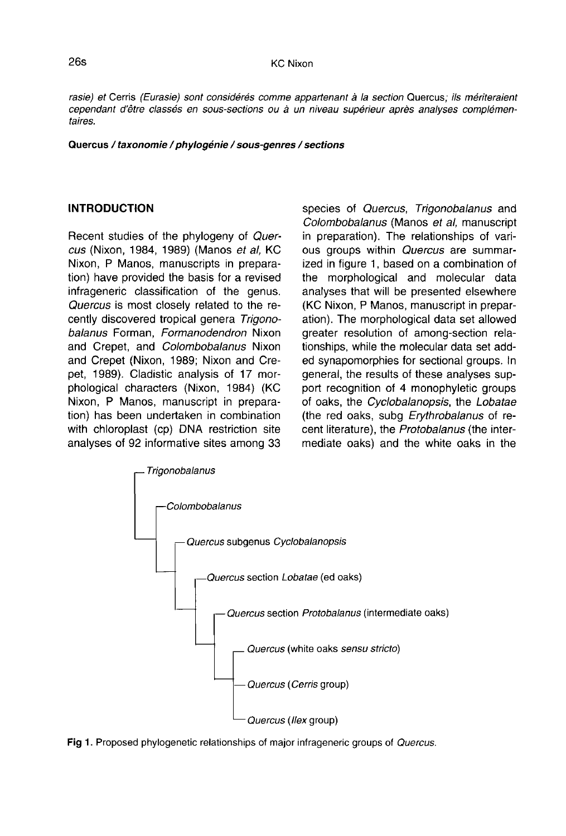rasie) et Cerris (Eurasie) sont considérés comme appartenant à la section Quercus; ils mériteraient cependant d'être classés en sous-sections ou à un niveau supérieur après analyses complémentaires.

Quercus / taxonomie / phylogénie / sous-genres / sections

#### INTRODUCTION

Recent studies of the phylogeny of Quercus (Nixon, 1984, 1989) (Manos et al, KC Nixon, P Manos, manuscripts in preparation) have provided the basis for a revised infrageneric classification of the genus. Quercus is most closely related to the recently discovered tropical genera Trigonobalanus Forman, Formanodendron Nixon and Crepet, and Colombobalanus Nixon and Crepet (Nixon, 1989; Nixon and Crepet, 1989). Cladistic analysis of 17 morphological characters (Nixon, 1984) (KC Nixon, P Manos, manuscript in preparation) has been undertaken in combination with chloroplast (cp) DNA restriction site analyses of 92 informative sites among 33 species of Quercus, Trigonobalanus and Colombobalanus (Manos et al, manuscript in preparation). The relationships of various groups within Quercus are summarized in figure 1, based on a combination of the morphological and molecular data analyses that will be presented elsewhere (KC Nixon, P Manos, manuscript in preparation). The morphological data set allowed greater resolution of among-section relationships, while the molecular data set added synapomorphies for sectional groups. In general, the results of these analyses support recognition of 4 monophyletic groups of oaks, the Cyclobalanopsis, the Lobatae (the red oaks, subg Erythrobalanus of recent literature), the Protobalanus (the intermediate oaks) and the white oaks in the



Fig 1. Proposed phylogenetic relationships of major infrageneric groups of Quercus.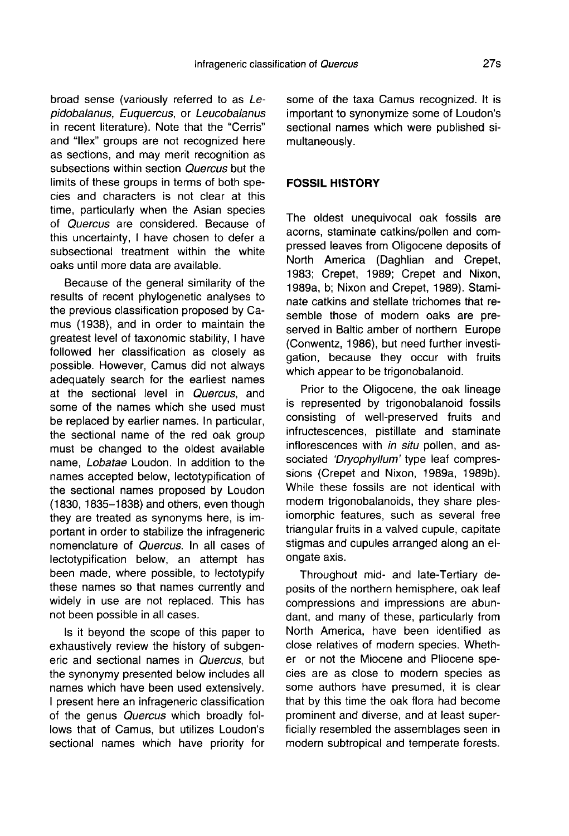broad sense (variously referred to as Lepidobalanus, Euquercus, or Leucobalanus in recent literature). Note that the "Cerris" and "Ilex" groups are not recognized here as sections, and may merit recognition as subsections within section Quercus but the limits of these groups in terms of both species and characters is not clear at this time, particularly when the Asian species of Quercus are considered. Because of this uncertainty, I have chosen to defer a subsectional treatment within the white oaks until more data are available.

Because of the general similarity of the results of recent phylogenetic analyses to the previous classification proposed by Camus (1938), and in order to maintain the greatest level of taxonomic stability, I have followed her classification as closely as possible. However, Camus did not always adequately search for the earliest names at the sectional level in Quercus, and some of the names which she used must be replaced by earlier names. In particular, the sectional name of the red oak group must be changed to the oldest available name, Lobatae Loudon. In addition to the names accepted below, lectotypification of the sectional names proposed by Loudon (1830, 1835-1838) and others, even though they are treated as synonyms here, is important in order to stabilize the infrageneric nomenclature of Quercus. In all cases of lectotypification below, an attempt has been made, where possible, to lectotypify these names so that names currently and widely in use are not replaced. This has not been possible in all cases.

Is it beyond the scope of this paper to exhaustively review the history of subgeneric and sectional names in Quercus, but the synonymy presented below includes all names which have been used extensively. I present here an infrageneric classification of the genus Quercus which broadly follows that of Camus, but utilizes Loudon's sectional names which have priority for some of the taxa Camus recognized. It is important to synonymize some of Loudon's sectional names which were published simultaneously.

#### FOSSIL HISTORY

The oldest unequivocal oak fossils are acorns, staminate catkins/pollen and compressed leaves from Oligocene deposits of North America (Daghlian and Crepet, 1983; Crepet, 1989; Crepet and Nixon, 1989a, b; Nixon and Crepet, 1989). Staminate catkins and stellate trichomes that resemble those of modern oaks are preserved in Baltic amber of northern Europe (Conwentz, 1986), but need further investigation, because they occur with fruits which appear to be trigonobalanoid.

Prior to the Oligocene, the oak lineage is represented by trigonobalanoid fossils consisting of well-preserved fruits and infructescences, pistillate and staminate inflorescences with in situ pollen, and associated 'Dryophyllum' type leaf compressions (Crepet and Nixon, 1989a, 1989b). While these fossils are not identical with modern trigonobalanoids, they share plesiomorphic features, such as several free triangular fruits in a valved cupule, capitate stigmas and cupules arranged along an elongate axis.

Throughout mid- and late-Tertiary deposits of the northern hemisphere, oak leaf compressions and impressions are abundant, and many of these, particularly from North America, have been identified as close relatives of modern species. Whether or not the Miocene and Pliocene species are as close to modern species as some authors have presumed, it is clear that by this time the oak flora had become prominent and diverse, and at least superficially resembled the assemblages seen in modern subtropical and temperate forests.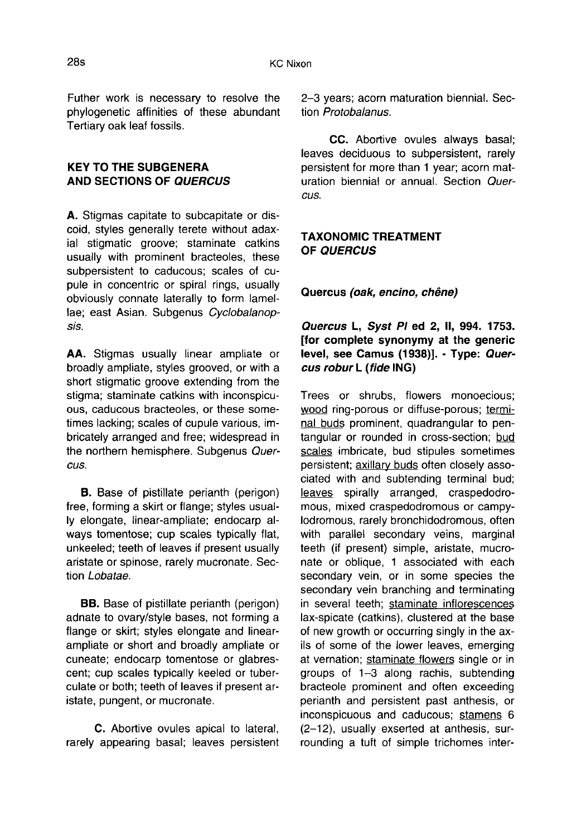Futher work is necessary to resolve the phylogenetic affinities of these abundant Tertiary oak leaf fossils.

# KEY TO THE SUBGENERA AND SECTIONS OF QUERCUS

A. Stigmas capitate to subcapitate or discoid, styles generally terete without adaxial stigmatic groove; staminate catkins usually with prominent bracteoles, these subpersistent to caducous; scales of cupule in concentric or spiral rings, usually obviously connate laterally to form lamellae; east Asian. Subgenus Cyclobalanopsis.

AA. Stigmas usually linear ampliate or broadly ampliate, styles grooved, or with a short stigmatic groove extending from the stigma; staminate catkins with inconspicuous, caducous bracteoles, or these sometimes lacking; scales of cupule various, imbricately arranged and free; widespread in the northern hemisphere. Subgenus Quercus.

B. Base of pistillate perianth (perigon) free, forming a skirt or flange; styles usually elongate, linear-ampliate; endocarp always tomentose; cup scales typically flat, unkeeled; teeth of leaves if present usually aristate or spinose, rarely mucronate. Section *Lobatae* 

BB. Base of pistillate perianth (perigon) adnate to ovary/style bases, not forming a flange or skirt; styles elongate and linearampliate or short and broadly ampliate or cuneate; endocarp tomentose or glabrescent; cup scales typically keeled or tuberculate or both; teeth of leaves if present aristate, pungent, or mucronate.

C. Abortive ovules apical to lateral, rarely appearing basal; leaves persistent 2-3 years; acorn maturation biennial. Section Protobalanus.

CC. Abortive ovules always basal; leaves deciduous to subpersistent, rarely persistent for more than 1 year; acorn maturation biennial or annual. Section Ouercus.

# TAXONOMIC TREATMENT OF QUERCUS

Quercus (oak, encino, chêne)

## Quercus L, Syst PI ed 2, II, 994. 1753. [for complete synonymy at the generic level, see Camus (1938)]. - Type: Quercus robur L (fide ING)

Trees or shrubs, flowers monoecious; wood ring-porous or diffuse-porous; terminal buds prominent, quadrangular to pentangular or rounded in cross-section; bud scales imbricate, bud stipules sometimes persistent; axillary buds often closely associated with and subtending terminal bud; leaves spirally arranged, craspedodromous, mixed craspedodromous or campylodromous, rarely bronchidodromous, often with parallel secondary veins, marginal teeth (if present) simple, aristate, mucronate or oblique, 1 associated with each secondary vein, or in some species the secondary vein branching and terminating in several teeth; staminate inflorescences lax-spicate (catkins), clustered at the base of new growth or occurring singly in the axils of some of the lower leaves, emerging at vernation; staminate flowers single or in groups of 1-3 along rachis, subtending bracteole prominent and often exceeding perianth and persistent past anthesis, or inconspicuous and caducous; stamens 6 (2-12), usually exserted at anthesis, surrounding a tuft of simple trichomes inter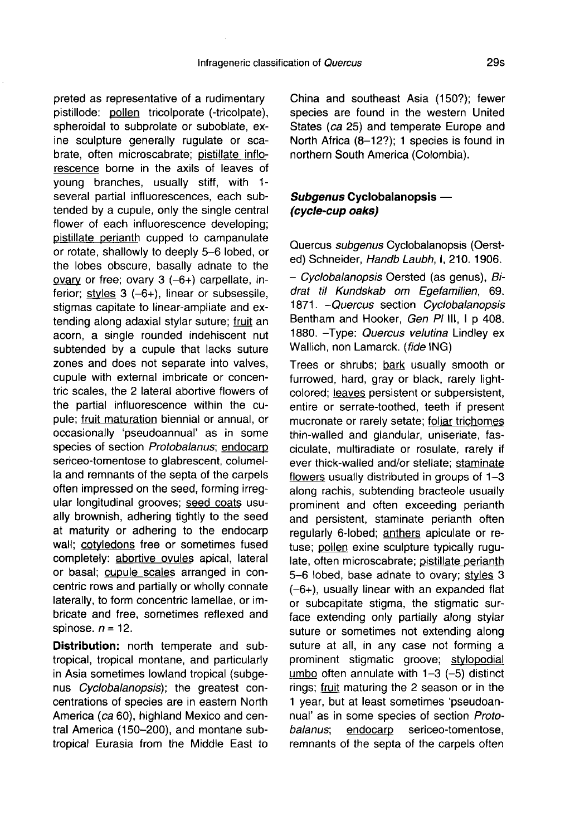preted as representative of a rudimentary pistillode: pollen tricolporate (-tricolpate), spheroidal to subprolate or suboblate, exine sculpture generally rugulate or scabrate, often microscabrate; pistillate inflorescence borne in the axils of leaves of young branches, usually stiff, with 1 several partial influorescences, each subtended by a cupule, only the single central flower of each influorescence developing; pistillate perianth cupped to campanulate or rotate, shallowly to deeply 5-6 lobed, or the lobes obscure, basally adnate to the  $\overline{\text{ovary}}$  or free; ovary 3 (-6+) carpellate, inferior; styles  $3$  (-6+), linear or subsessile, stigmas capitate to linear-ampliate and extending along adaxial stylar suture; fruit an acorn, a single rounded indehiscent nut subtended by a cupule that lacks suture zones and does not separate into valves, cupule with external imbricate or concentric scales, the 2 lateral abortive flowers of the partial influorescence within the cupule; fruit maturation biennial or annual, or occasionally 'pseudoannual' as in some species of section Protobalanus; endocarp sericeo-tomentose to glabrescent, columella and remnants of the septa of the carpels often impressed on the seed, forming irregular longitudinal grooves; seed coats usually brownish, adhering tightly to the seed at maturity or adhering to the endocarp wall; cotyledons free or sometimes fused completely: abortive ovules apical, lateral or basal; cupule scales arranged in concentric rows and partially or wholly connate laterally, to form concentric lamellae, or imbricate and free, sometimes reflexed and spinose.  $n = 12$ .

Distribution: north temperate and subtropical, tropical montane, and particularly in Asia sometimes lowland tropical (subge nus Cyclobalanopsis); the greatest concentrations of species are in eastern North America (ca 60), highland Mexico and central America (150-200), and montane subtropical Eurasia from the Middle East to China and southeast Asia (150?); fewer species are found in the western United States (ca 25) and temperate Europe and North Africa (8-12?); 1 species is found in northern South America (Colombia).

# Subgenus Cyclobalanopsis — (cycle-cup oaks)

Quercus subgenus Cyclobalanopsis (Oersted) Schneider, Handb Laubh, I, 210. 1906.

- Cyclobalanopsis Oersted (as genus), Bidrat til Kundskab om Egefamilien, 69. 1871. - Quercus section Cyclobalanopsis Bentham and Hooker, Gen PI III, I p 408. 1880. - Type: Quercus velutina Lindley ex Wallich, non Lamarck. (fide ING)

Trees or shrubs; bark usually smooth or furrowed, hard, gray or black, rarely lightcolored; leaves persistent or subpersistent, entire or serrate-toothed, teeth if present mucronate or rarely setate; foliar trichomes thin-walled and glandular, uniseriate, fasciculate, multiradiate or rosulate, rarely if ever thick-walled and/or stellate; staminate flowers usually distributed in groups of 1-3 along rachis, subtending bracteole usually prominent and often exceeding perianth and persistent, staminate perianth often regularly 6-lobed; anthers apiculate or retuse; pollen exine sculpture typically rugulate, often microscabrate; pistillate perianth 5-6 lobed, base adnate to ovary; styles 3 (-6+), usually linear with an expanded flat or subcapitate stigma, the stigmatic surface extending only partially along stylar suture or sometimes not extending along suture at all, in any case not forming a prominent stigmatic groove; stylopodial umbo often annulate with  $1-3$   $(-5)$  distinct rings; fruit maturing the 2 season or in the 1 year, but at least sometimes 'pseudoannual' as in some species of section Protobalanus; endocarp sericeo-tomentose, remnants of the septa of the carpels often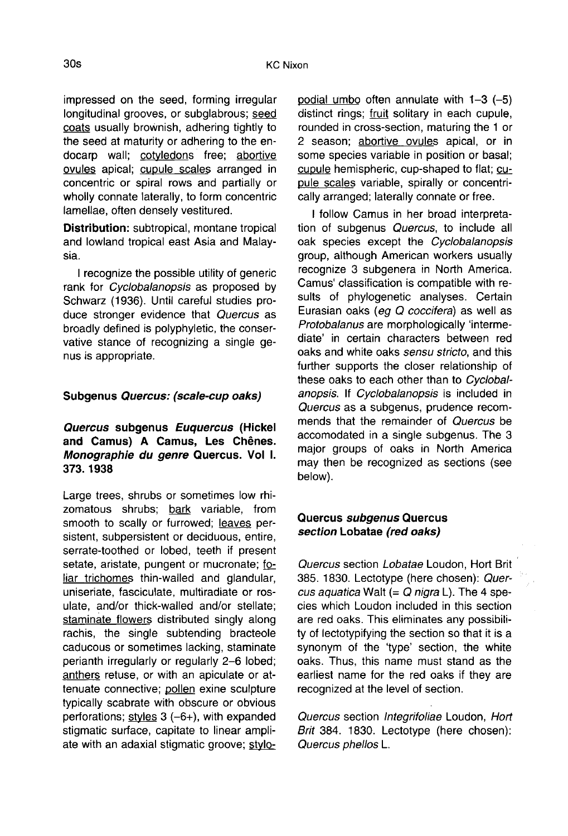impressed on the seed, forming irregular longitudinal grooves, or subglabrous; seed coats usually brownish, adhering tightly to the seed at maturity or adhering to the endocarp wall; cotyledons free; abortive ovules apical; cupule scales arranged in concentric or spiral rows and partially or wholly connate laterally, to form concentric lamellae, often densely vestitured.

Distribution: subtropical, montane tropical and lowland tropical east Asia and Malaysia.

I recognize the possible utility of generic rank for Cyclobalanopsis as proposed by Schwarz (1936). Until careful studies produce stronger evidence that Quercus as broadly defined is polyphyletic, the conservative stance of recognizing a single genus is appropriate.

#### Subgenus Quercus: (scale-cup oaks)

#### Quercus subgenus Euquercus (Hickel and Camus) A Camus, Les Chênes. Monographie du genre Quercus. Vol I. 373. 1938

Large trees, shrubs or sometimes low rhizomatous shrubs; bark variable, from smooth to scally or furrowed; leaves persistent, subpersistent or deciduous, entire, serrate-toothed or lobed, teeth if present setate, aristate, pungent or mucronate; foliar trichomes thin-walled and glandular, uniseriate, fasciculate, multiradiate or rosulate, and/or thick-walled and/or stellate; staminate flowers distributed singly along rachis, the single subtending bracteole caducous or sometimes lacking, staminate perianth irregularly or regularly 2-6 lobed; anthers retuse, or with an apiculate or attenuate connective; pollen exine sculpture typically scabrate with obscure or obvious perforations; styles 3 (-6+), with expanded stigmatic surface, capitate to linear ampliate with an adaxial stigmatic groove; stylopodial umbo often annulate with 1-3 (-5) distinct rings; fruit solitary in each cupule, rounded in cross-section, maturing the 1 or 2 season; abortive ovules apical, or in some species variable in position or basal; cupule hemispheric, cup-shaped to flat; cupule scales variable, spirally or concentrically arranged; laterally connate or free.

I follow Camus in her broad interpretation of subgenus Quercus, to include all oak species except the Cyclobalanopsis group, although American workers usually recognize 3 subgenera in North America. Camus' classification is compatible with results of phylogenetic analyses. Certain Eurasian oaks (eg Q coccifera) as well as Protobalanus are morphologically 'intermediate' in certain characters between red oaks and white oaks sensu stricto, and this further supports the closer relationship of these oaks to each other than to Cyclobalanopsis. If Cyclobalanopsis is included in Quercus as a subgenus, prudence recommends that the remainder of Quercus be accomodated in a single subgenus. The 3 major groups of oaks in North America may then be recognized as sections (see below).

#### Quercus subgenus Quercus section Lobatae (red oaks)

Quercus section Lobatae Loudon, Hort Brit 385. 1830. Lectotype (here chosen): Quer-<br>cus aquatica Wait (= Q nigra L). The 4 species which Loudon included in this section are red oaks. This eliminates any possibility of lectotypifying the section so that it is a synonym of the 'type' section, the white oaks. Thus, this name must stand as the earliest name for the red oaks if they are recognized at the level of section.

Quercus section Integrifoliae Loudon, Hort Brit 384. 1830. Lectotype (here chosen): Quercus phellos L.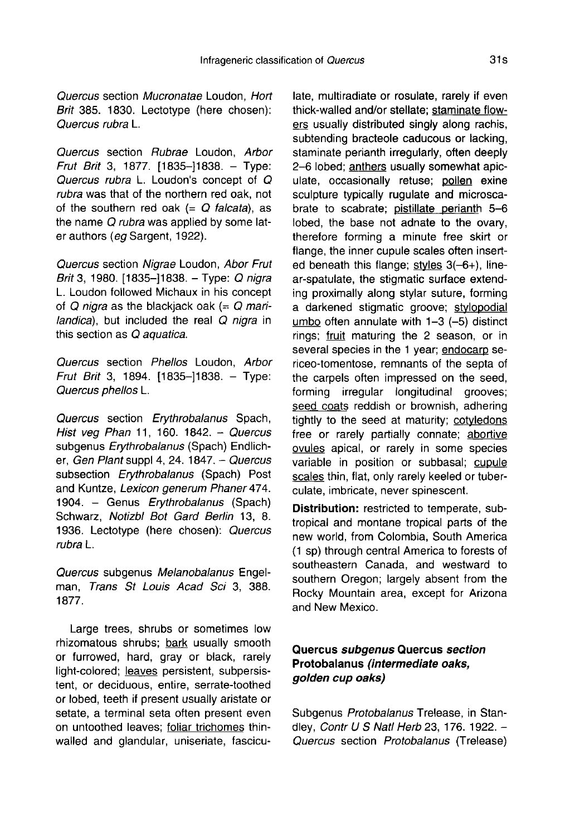Quercus section Mucronatae Loudon, Hort Brit 385. 1830. Lectotype (here chosen): Quercus rubra L.

Quercus section Rubrae Loudon, Arbor Frut Brit 3, 1877. [1835-]1838. - Type: Quercus rubra L. Loudon's concept of Q rubra was that of the northern red oak, not of the southern red oak  $(= Q \text{ falcata})$ , as the name Q rubra was applied by some later authors (eg Sargent, 1922).

Quercus section Nigrae Loudon, Abor Frut Brit 3, 1980. [1835-]1838. - Type: Q nigra L. Loudon followed Michaux in his concept of Q nigra as the blackjack oak  $(= Q \text{ mari-}$  $landica$ ), but included the real  $Q$  nigra in this section as Q aquatica.

Quercus section Phellos Loudon, Arbor Frut Brit 3, 1894.  $[1835-]1838. - Type$ : Quercus phellos L.

Quercus section Erythrobalanus Spach, Hist veg Phan 11, 160, 1842. - Quercus subgenus Erythrobalanus (Spach) Endlicher, Gen Plant suppl 4, 24, 1847. - Quercus subsection Erythrobalanus (Spach) Post and Kuntze, Lexicon generum Phaner 474. 1904. - Genus Erythrobalanus (Spach) Schwarz, Notizbl Bot Gard Berlin 13, 8. 1936. Lectotype (here chosen): Quercus rubra L.

Quercus subgenus Melanobalanus Engel man, Trans St Louis Acad Sci 3, 388. 1877.

Large trees, shrubs or sometimes low rhizomatous shrubs; bark usually smooth or furrowed, hard, gray or black, rarely light-colored; leaves persistent, subpersistent, or deciduous, entire, serrate-toothed or lobed, teeth if present usually aristate or setate, a terminal seta often present even on untoothed leaves; foliar trichomes thinwalled and glandular, uniseriate, fasciculate, multiradiate or rosulate, rarely if even thick-walled and/or stellate; staminate flowers usually distributed singly along rachis, subtending bracteole caducous or lacking, staminate perianth irregularly, often deeply 2-6 lobed; anthers usually somewhat apiculate, occasionally retuse; pollen exine sculpture typically rugulate and microscabrate to scabrate; pistillate perianth 5-6 lobed, the base not adnate to the ovary, therefore forming a minute free skirt or flange, the inner cupule scales often inserted beneath this flange; styles 3(-6+), linear-spatulate, the stigmatic surface extending proximally along stylar suture, forming a darkened stigmatic groove; stylopodial umbo often annulate with 1-3 (-5) distinct rings; fruit maturing the 2 season, or in several species in the 1 year; endocarp sericeo-tomentose, remnants of the septa of the carpels often impressed on the seed, forming irregular longitudinal grooves; seed coats reddish or brownish, adhering tightly to the seed at maturity; cotyledons free or rarely partially connate; abortive ovules apical, or rarely in some species variable in position or subbasal; cupule scales thin, flat, only rarely keeled or tuberculate, imbricate, never spinescent.

Distribution: restricted to temperate, subtropical and montane tropical parts of the new world, from Colombia, South America (1 sp) through central America to forests of southeastern Canada, and westward to southern Oregon; largely absent from the Rocky Mountain area, except for Arizona and New Mexico.

# Quercus subgenus Quercus section Protobalanus (intermediate oaks, golden cup oaks)

Subgenus Protobalanus Trelease, in Standley, Contr U S Natl Herb 23, 176. 1922. -Quercus section Protobalanus (Trelease)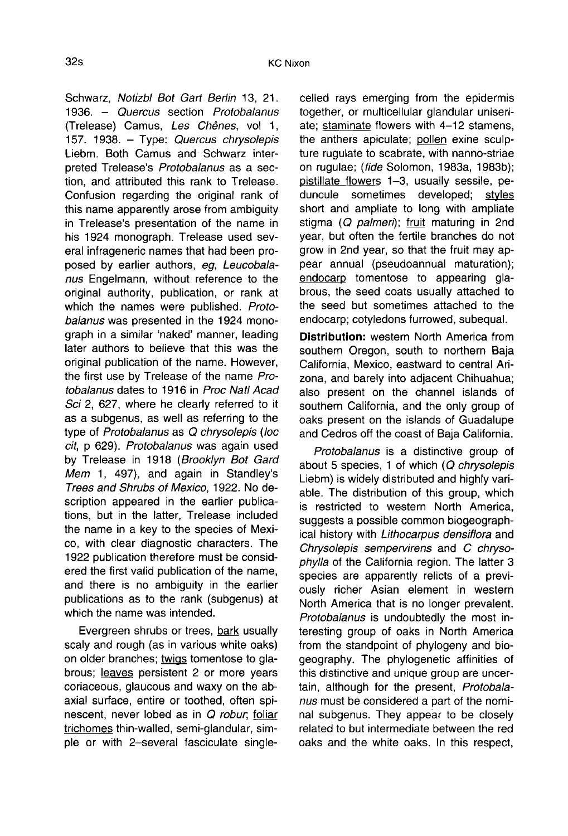Schwarz, Notizbl Bot Gart Berlin 13, 21. 1936. - Quercus section Protobalanus (Trelease) Camus, Les Chênes, vol 1, 157. 1938. - Type: Quercus chrysolepis Liebm. Both Camus and Schwarz interpreted Trelease's Protobalanus as a section, and attributed this rank to Trelease. Confusion regarding the original rank of this name apparently arose from ambiguity in Trelease's presentation of the name in his 1924 monograph. Trelease used several infrageneric names that had been proposed by earlier authors, eg, Leucobalanus Engelmann, without reference to the original authority, publication, or rank at which the names were published. Protobalanus was presented in the 1924 monograph in a similar 'naked' manner, leading later authors to believe that this was the original publication of the name. However, the first use by Trelease of the name Protobalanus dates to 1916 in Proc Natl Acad Sci 2, 627, where he clearly referred to it as a subgenus, as well as referring to the type of Protobalanus as Q chrysolepis (loc cit, p 629). Protobalanus was again used by Trelease in 1918 (Brooklyn Bot Gard Mem 1, 497), and again in Standley's Trees and Shrubs of Mexico, 1922. No description appeared in the earlier publications, but in the latter, Trelease included the name in a key to the species of Mexico, with clear diagnostic characters. The 1922 publication therefore must be considered the first valid publication of the name, and there is no ambiguity in the earlier publications as to the rank (subgenus) at which the name was intended.

Evergreen shrubs or trees, bark usually scaly and rough (as in various white oaks) on older branches; twigs tomentose to glabrous; leaves persistent 2 or more years coriaceous, glaucous and waxy on the abaxial surface, entire or toothed, often spinescent, never lobed as in Q robur, foliar trichomes thin-walled, semi-glandular, simple or with 2-several fasciculate singlecelled rays emerging from the epidermis together, or multicellular glandular uniseriate; staminate flowers with 4-12 stamens, the anthers apiculate; pollen exine sculpture rugulate to scabrate, with nanno-striae on rugulae; (fide Solomon, 1983a, 1983b); pistillate flowers 1-3, usually sessile, peduncule sometimes developed; styles short and ampliate to long with ampliate stigma (Q palmeri); fruit maturing in 2nd year, but often the fertile branches do not grow in 2nd year, so that the fruit may appear annual (pseudoannual maturation); endocarp tomentose to appearing glabrous, the seed coats usually attached to the seed but sometimes attached to the endocarp; cotyledons furrowed, subequal.

Distribution: western North America from southern Oregon, south to northern Baja California, Mexico, eastward to central Arizona, and barely into adjacent Chihuahua; also present on the channel islands of southern California, and the only group of oaks present on the islands of Guadalupe and Cedros off the coast of Baja California.

Protobalanus is a distinctive group of about 5 species, 1 of which (Q chrysolepis Liebm) is widely distributed and highly variable. The distribution of this group, which is restricted to western North America, suggests a possible common biogeographical history with Lithocarpus densiflora and Chrysolepis sempervirens and C chrysophylla of the California region. The latter 3 species are apparently relicts of a previously richer Asian element in western North America that is no longer prevalent. Protobalanus is undoubtedly the most interesting group of oaks in North America from the standpoint of phylogeny and biogeography. The phylogenetic affinities of this distinctive and unique group are uncertain, although for the present, Protobalanus must be considered a part of the nominal subgenus. They appear to be closely related to but intermediate between the red oaks and the white oaks. In this respect,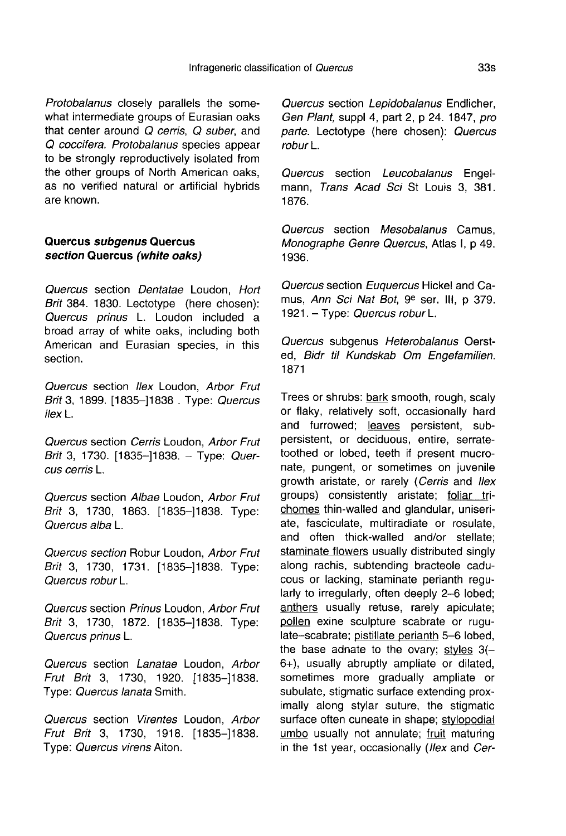Protobalanus closely parallels the somewhat intermediate groups of Eurasian oaks that center around Q cerris, Q suber, and Q coccifera. Protobalanus species appear to be strongly reproductively isolated from the other groups of North American oaks, as no verified natural or artificial hybrids are known.

### Quercus subgenus Quercus section Quercus (white oaks)

Quercus section Dentatae Loudon, Hort Brit 384. 1830. Lectotype (here chosen): Quercus prinus L. Loudon included a broad array of white oaks, including both American and Eurasian species, in this section.

Quercus section Ilex Loudon, Arbor Frut Brit 3, 1899. [1835-]1838 . Type: Quercus ilex L.

Quercus section Cerris Loudon, Arbor Frut Brit 3, 1730. [1835-]1838. - Type: Quercus cerris L.

Quercus section Albae Loudon, Arbor Frut Brit 3, 1730, 1863. [1835-]1838. Type: Quercus alba L.

Quercus section Robur Loudon, Arbor Frut Brit 3, 1730, 1731. [1835-]1838. Type: Quercus robur L.

Quercus section Prinus Loudon, Arbor Frut Brit 3, 1730, 1872. [1835-]1838. Type: Quercus prinus L.

Quercus section Lanatae Loudon, Arbor Frut Brit 3, 1730, 1920. [1835-]1838. Type: Quercus lanata Smith.

Quercus section Virentes Loudon, Arbor Frut Brit 3, 1730, 1918. [1835-]1838. Type: Quercus virens Aiton.

Quercus section Lepidobalanus Endlicher, Gen Plant, suppl 4, part 2, p 24. 1847, pro parte. Lectotype (here chosen): Quercus robur L.

Quercus section Leucobalanus Engelmann, Trans Acad Sci St Louis 3, 381. 1876.

Quercus section Mesobalanus Camus, Monographe Genre Quercus, Atlas I, p 49. 1936.

Quercus section Euquercus Hickel and Camus, Ann Sci Nat Bot, 9<sup>e</sup> ser. III, p 379. 1921. - Type: Quercus robur L.

Quercus subgenus Heterobalanus Oersted, Bidr til Kundskab Om Engefamilien. 1871

Trees or shrubs: bark smooth, rough, scaly or flaky, relatively soft, occasionally hard and furrowed; leaves persistent, subpersistent, or deciduous, entire, serratetoothed or lobed, teeth if present mucronate, pungent, or sometimes on juvenile growth aristate, or rarely (Cerris and Ilex groups) consistently aristate; foliar trichomes thin-walled and glandular, uniseriate, fasciculate, multiradiate or rosulate, and often thick-walled and/or stellate; staminate flowers usually distributed singly along rachis, subtending bracteole caducous or lacking, staminate perianth regularly to irregularly, often deeply 2-6 lobed; anthers usually retuse, rarely apiculate; pollen exine sculpture scabrate or rugulate-scabrate; pistillate perianth 5-6 lobed, the base adnate to the ovary; styles  $3$ (-6+), usually abruptly ampliate or dilated, sometimes more gradually ampliate or subulate, stigmatic surface extending proximally along stylar suture, the stigmatic surface often cuneate in shape; stylopodial umbo usually not annulate; fruit maturing in the 1st year, occasionally (Ilex and Cer-